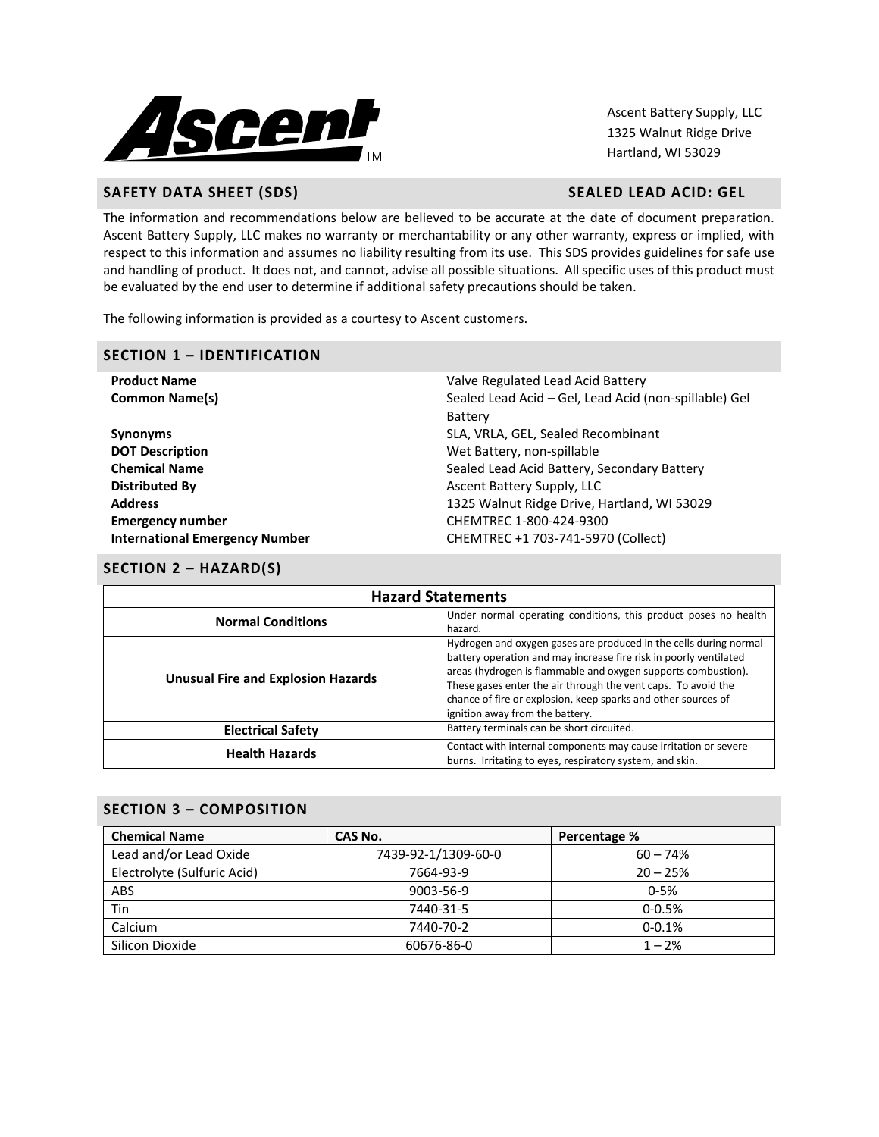

Ascent Battery Supply, LLC 1325 Walnut Ridge Drive Hartland, WI 53029

# **SAFETY DATA SHEET (SDS)** SAFETY DATA SHEET (SDS)

The information and recommendations below are believed to be accurate at the date of document preparation. Ascent Battery Supply, LLC makes no warranty or merchantability or any other warranty, express or implied, with respect to this information and assumes no liability resulting from its use. This SDS provides guidelines for safe use and handling of product. It does not, and cannot, advise all possible situations. All specific uses of this product must be evaluated by the end user to determine if additional safety precautions should be taken.

The following information is provided as a courtesy to Ascent customers.

#### **SECTION 1 – IDENTIFICATION**

| <b>Product Name</b>                   | Valve Regulated Lead Acid Battery                     |
|---------------------------------------|-------------------------------------------------------|
| <b>Common Name(s)</b>                 | Sealed Lead Acid – Gel, Lead Acid (non-spillable) Gel |
|                                       | <b>Battery</b>                                        |
| <b>Synonyms</b>                       | SLA, VRLA, GEL, Sealed Recombinant                    |
| <b>DOT Description</b>                | Wet Battery, non-spillable                            |
| <b>Chemical Name</b>                  | Sealed Lead Acid Battery, Secondary Battery           |
| Distributed By                        | Ascent Battery Supply, LLC                            |
| <b>Address</b>                        | 1325 Walnut Ridge Drive, Hartland, WI 53029           |
| <b>Emergency number</b>               | CHEMTREC 1-800-424-9300                               |
| <b>International Emergency Number</b> | CHEMTREC +1 703-741-5970 (Collect)                    |
|                                       |                                                       |

#### **SECTION 2 – HAZARD(S)**

| <b>Hazard Statements</b>                  |                                                                                                                                                                                                                                                                                                                                                                              |  |  |
|-------------------------------------------|------------------------------------------------------------------------------------------------------------------------------------------------------------------------------------------------------------------------------------------------------------------------------------------------------------------------------------------------------------------------------|--|--|
| <b>Normal Conditions</b>                  | Under normal operating conditions, this product poses no health<br>hazard.                                                                                                                                                                                                                                                                                                   |  |  |
| <b>Unusual Fire and Explosion Hazards</b> | Hydrogen and oxygen gases are produced in the cells during normal<br>battery operation and may increase fire risk in poorly ventilated<br>areas (hydrogen is flammable and oxygen supports combustion).<br>These gases enter the air through the vent caps. To avoid the<br>chance of fire or explosion, keep sparks and other sources of<br>ignition away from the battery. |  |  |
| <b>Electrical Safety</b>                  | Battery terminals can be short circuited.                                                                                                                                                                                                                                                                                                                                    |  |  |
| <b>Health Hazards</b>                     | Contact with internal components may cause irritation or severe<br>burns. Irritating to eyes, respiratory system, and skin.                                                                                                                                                                                                                                                  |  |  |

## **SECTION 3 – COMPOSITION**

| <b>Chemical Name</b>        | CAS No.             | Percentage % |
|-----------------------------|---------------------|--------------|
| Lead and/or Lead Oxide      | 7439-92-1/1309-60-0 | $60 - 74%$   |
| Electrolyte (Sulfuric Acid) | 7664-93-9           | $20 - 25%$   |
| <b>ABS</b>                  | 9003-56-9           | $0 - 5%$     |
| Tin                         | 7440-31-5           | $0 - 0.5%$   |
| Calcium                     | 7440-70-2           | $0 - 0.1%$   |
| Silicon Dioxide             | 60676-86-0          | $1 - 2%$     |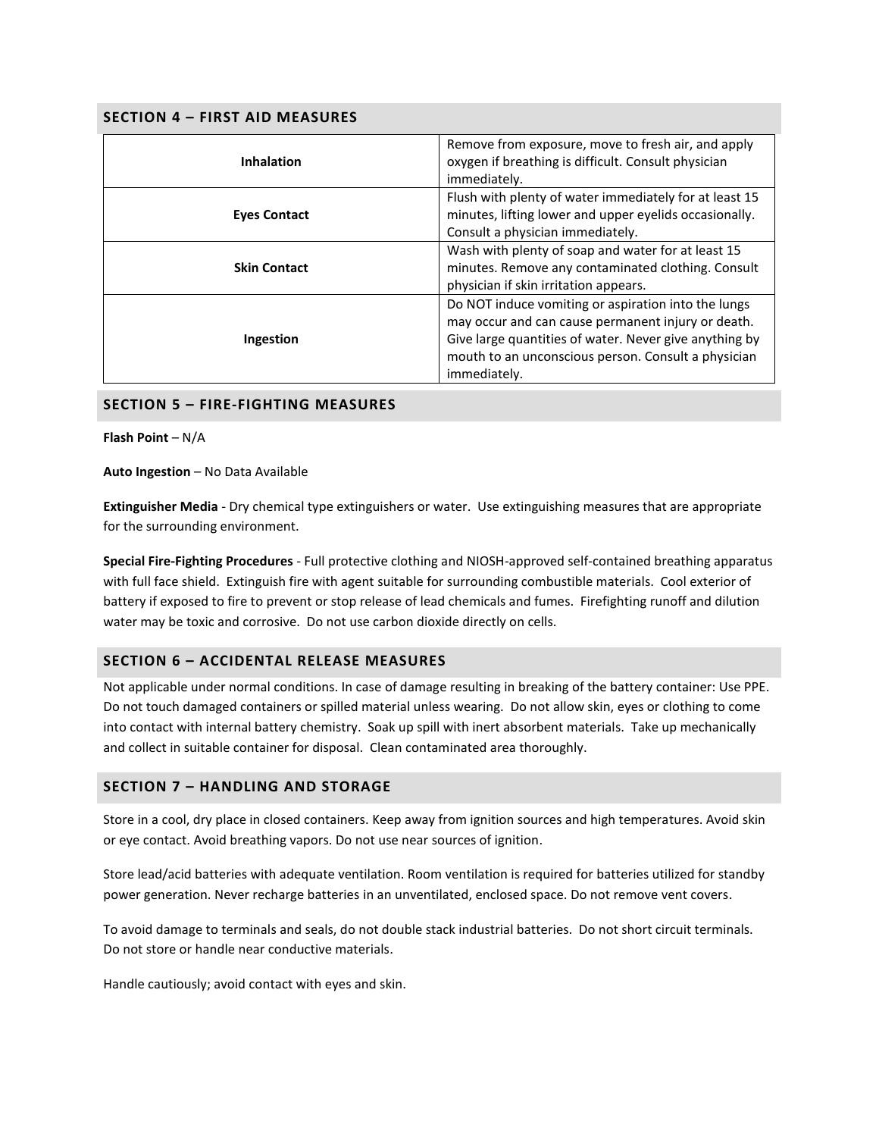## **SECTION 4 – FIRST AID MEASURES**

| <b>Inhalation</b>   | Remove from exposure, move to fresh air, and apply<br>oxygen if breathing is difficult. Consult physician<br>immediately.                                                                                                                  |  |  |
|---------------------|--------------------------------------------------------------------------------------------------------------------------------------------------------------------------------------------------------------------------------------------|--|--|
| <b>Eyes Contact</b> | Flush with plenty of water immediately for at least 15<br>minutes, lifting lower and upper eyelids occasionally.<br>Consult a physician immediately.                                                                                       |  |  |
| <b>Skin Contact</b> | Wash with plenty of soap and water for at least 15<br>minutes. Remove any contaminated clothing. Consult<br>physician if skin irritation appears.                                                                                          |  |  |
| Ingestion           | Do NOT induce vomiting or aspiration into the lungs<br>may occur and can cause permanent injury or death.<br>Give large quantities of water. Never give anything by<br>mouth to an unconscious person. Consult a physician<br>immediately. |  |  |

## **SECTION 5 – FIRE-FIGHTING MEASURES**

**Flash Point** – N/A

**Auto Ingestion** – No Data Available

**Extinguisher Media** - Dry chemical type extinguishers or water. Use extinguishing measures that are appropriate for the surrounding environment.

**Special Fire-Fighting Procedures** - Full protective clothing and NIOSH-approved self-contained breathing apparatus with full face shield. Extinguish fire with agent suitable for surrounding combustible materials. Cool exterior of battery if exposed to fire to prevent or stop release of lead chemicals and fumes. Firefighting runoff and dilution water may be toxic and corrosive. Do not use carbon dioxide directly on cells.

## **SECTION 6 – ACCIDENTAL RELEASE MEASURES**

Not applicable under normal conditions. In case of damage resulting in breaking of the battery container: Use PPE. Do not touch damaged containers or spilled material unless wearing. Do not allow skin, eyes or clothing to come into contact with internal battery chemistry. Soak up spill with inert absorbent materials. Take up mechanically and collect in suitable container for disposal. Clean contaminated area thoroughly.

#### **SECTION 7 – HANDLING AND STORAGE**

Store in a cool, dry place in closed containers. Keep away from ignition sources and high temperatures. Avoid skin or eye contact. Avoid breathing vapors. Do not use near sources of ignition.

Store lead/acid batteries with adequate ventilation. Room ventilation is required for batteries utilized for standby power generation. Never recharge batteries in an unventilated, enclosed space. Do not remove vent covers.

To avoid damage to terminals and seals, do not double stack industrial batteries. Do not short circuit terminals. Do not store or handle near conductive materials.

Handle cautiously; avoid contact with eyes and skin.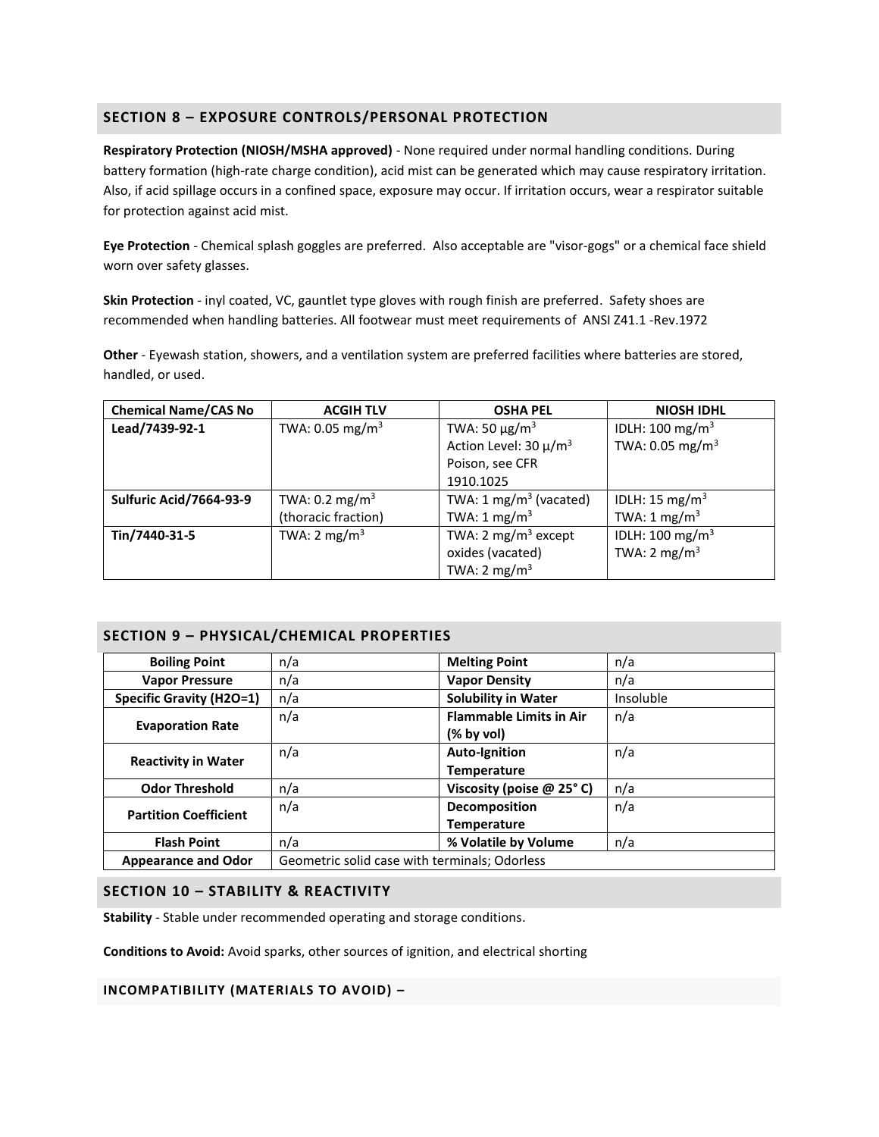# **SECTION 8 – EXPOSURE CONTROLS/PERSONAL PROTECTION**

**Respiratory Protection (NIOSH/MSHA approved)** - None required under normal handling conditions. During battery formation (high-rate charge condition), acid mist can be generated which may cause respiratory irritation. Also, if acid spillage occurs in a confined space, exposure may occur. If irritation occurs, wear a respirator suitable for protection against acid mist.

**Eye Protection** - Chemical splash goggles are preferred. Also acceptable are "visor-gogs" or a chemical face shield worn over safety glasses.

**Skin Protection** - inyl coated, VC, gauntlet type gloves with rough finish are preferred. Safety shoes are recommended when handling batteries. All footwear must meet requirements of ANSI Z41.1 -Rev.1972

**Other** - Eyewash station, showers, and a ventilation system are preferred facilities where batteries are stored, handled, or used.

| <b>Chemical Name/CAS No</b> | <b>ACGIH TLV</b>            | <b>OSHA PEL</b>                   | <b>NIOSH IDHL</b>           |  |
|-----------------------------|-----------------------------|-----------------------------------|-----------------------------|--|
| Lead/7439-92-1              | TWA: 0.05 mg/m <sup>3</sup> | TWA: 50 $\mu$ g/m <sup>3</sup>    | IDLH: $100 \text{ mg/m}^3$  |  |
|                             |                             | Action Level: 30 µ/m <sup>3</sup> | TWA: 0.05 mg/m <sup>3</sup> |  |
|                             |                             | Poison, see CFR                   |                             |  |
|                             |                             | 1910.1025                         |                             |  |
| Sulfuric Acid/7664-93-9     | TWA: $0.2 \text{ mg/m}^3$   | TWA: $1 \text{ mg/m}^3$ (vacated) | IDLH: 15 mg/m <sup>3</sup>  |  |
|                             | (thoracic fraction)         | TWA: $1 \text{ mg/m}^3$           | TWA: $1 \text{ mg/m}^3$     |  |
| Tin/7440-31-5               | TWA: $2 \text{ mg/m}^3$     | TWA: 2 mg/m <sup>3</sup> except   | IDLH: $100 \text{ mg/m}^3$  |  |
|                             |                             | oxides (vacated)                  | TWA: $2 \text{ mg/m}^3$     |  |
|                             |                             | TWA: $2 \text{ mg/m}^3$           |                             |  |

## **SECTION 9 – PHYSICAL/CHEMICAL PROPERTIES**

| <b>Boiling Point</b>            | n/a                                           | <b>Melting Point</b>           | n/a       |
|---------------------------------|-----------------------------------------------|--------------------------------|-----------|
| <b>Vapor Pressure</b>           | n/a                                           | <b>Vapor Density</b>           | n/a       |
| <b>Specific Gravity (H2O=1)</b> | n/a                                           | <b>Solubility in Water</b>     | Insoluble |
| <b>Evaporation Rate</b>         | n/a                                           | <b>Flammable Limits in Air</b> | n/a       |
|                                 |                                               | (% by vol)                     |           |
| <b>Reactivity in Water</b>      | n/a                                           | <b>Auto-Ignition</b>           | n/a       |
|                                 |                                               | <b>Temperature</b>             |           |
| <b>Odor Threshold</b>           | n/a                                           | Viscosity (poise @ 25°C)       | n/a       |
| <b>Partition Coefficient</b>    | n/a                                           | Decomposition                  | n/a       |
|                                 |                                               | <b>Temperature</b>             |           |
| <b>Flash Point</b>              | n/a                                           | % Volatile by Volume           | n/a       |
| <b>Appearance and Odor</b>      | Geometric solid case with terminals; Odorless |                                |           |

#### **SECTION 10 – STABILITY & REACTIVITY**

**Stability** - Stable under recommended operating and storage conditions.

**Conditions to Avoid:** Avoid sparks, other sources of ignition, and electrical shorting

**INCOMPATIBILITY (MATERIALS TO AVOID) –**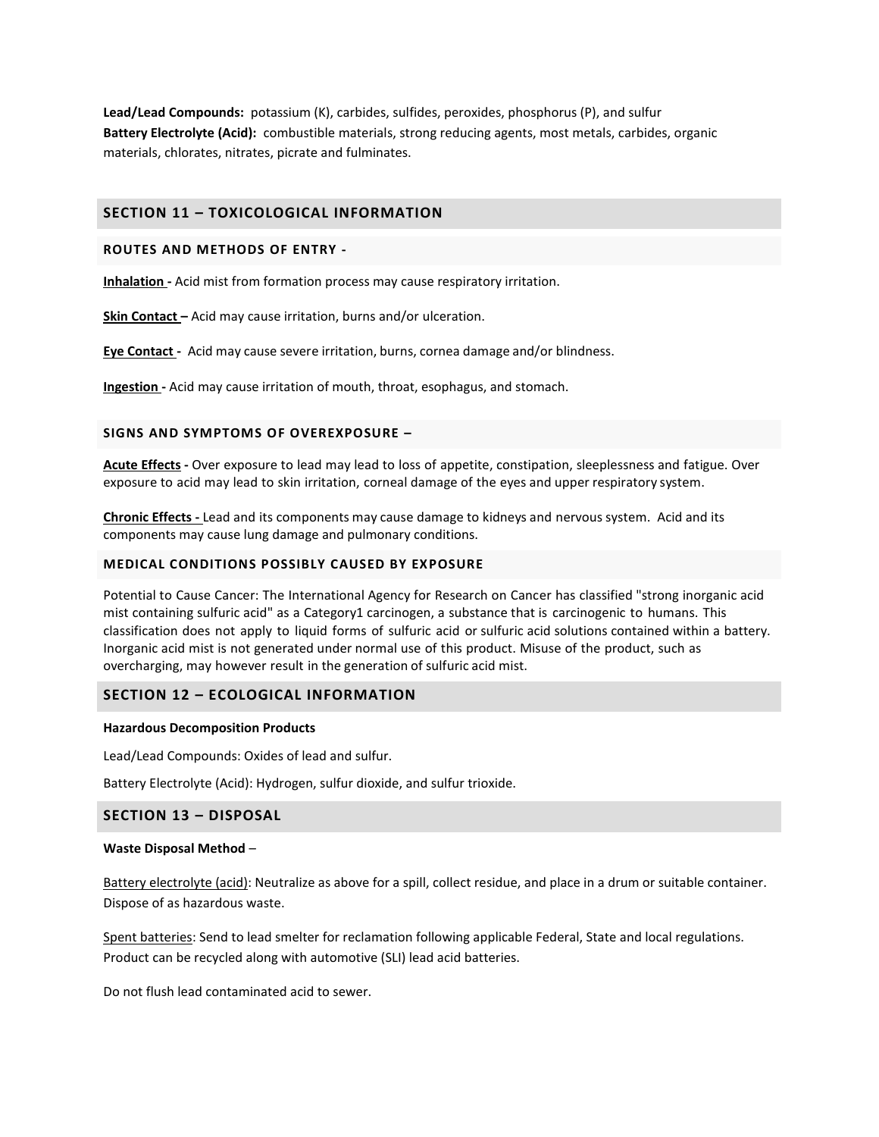**Lead/Lead Compounds:** potassium (K), carbides, sulfides, peroxides, phosphorus (P), and sulfur **Battery Electrolyte (Acid):** combustible materials, strong reducing agents, most metals, carbides, organic materials, chlorates, nitrates, picrate and fulminates.

## **SECTION 11 – TOXICOLOGICAL INFORMATION**

#### **ROUTES AND METHODS OF ENTRY -**

**Inhalation -** Acid mist from formation process may cause respiratory irritation.

**Skin Contact –** Acid may cause irritation, burns and/or ulceration.

**Eye Contact -** Acid may cause severe irritation, burns, cornea damage and/or blindness.

**Ingestion -** Acid may cause irritation of mouth, throat, esophagus, and stomach.

#### **SIGNS AND SYMPTOMS OF OVEREXPOSURE –**

**Acute Effects -** Over exposure to lead may lead to loss of appetite, constipation, sleeplessness and fatigue. Over exposure to acid may lead to skin irritation, corneal damage of the eyes and upper respiratory system.

**Chronic Effects -** Lead and its components may cause damage to kidneys and nervous system. Acid and its components may cause lung damage and pulmonary conditions.

### **MEDICAL CONDITIONS POSSIBLY CAUSED BY EXPOSURE**

Potential to Cause Cancer: The International Agency for Research on Cancer has classified "strong inorganic acid mist containing sulfuric acid" as a Category1 carcinogen, a substance that is carcinogenic to humans. This classification does not apply to liquid forms of sulfuric acid or sulfuric acid solutions contained within a battery. Inorganic acid mist is not generated under normal use of this product. Misuse of the product, such as overcharging, may however result in the generation of sulfuric acid mist.

# **SECTION 12 – ECOLOGICAL INFORMATION**

#### **Hazardous Decomposition Products**

Lead/Lead Compounds: Oxides of lead and sulfur.

Battery Electrolyte (Acid): Hydrogen, sulfur dioxide, and sulfur trioxide.

## **SECTION 13 – DISPOSAL**

#### **Waste Disposal Method** –

Battery electrolyte (acid): Neutralize as above for a spill, collect residue, and place in a drum or suitable container. Dispose of as hazardous waste.

Spent batteries: Send to lead smelter for reclamation following applicable Federal, State and local regulations. Product can be recycled along with automotive (SLI) lead acid batteries.

Do not flush lead contaminated acid to sewer.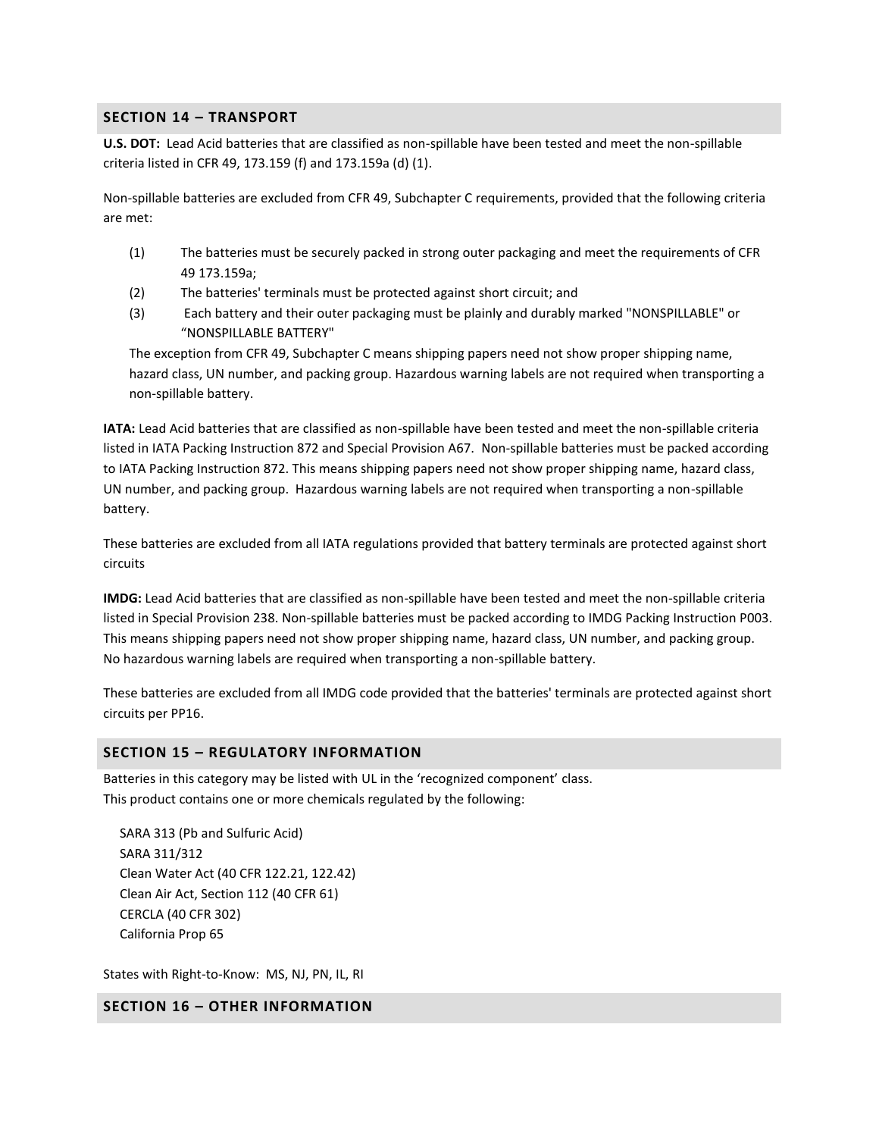# **SECTION 14 – TRANSPORT**

**U.S. DOT:** Lead Acid batteries that are classified as non-spillable have been tested and meet the non-spillable criteria listed in CFR 49, 173.159 (f) and 173.159a (d) (1).

Non-spillable batteries are excluded from CFR 49, Subchapter C requirements, provided that the following criteria are met:

- (1) The batteries must be securely packed in strong outer packaging and meet the requirements of CFR 49 173.159a;
- (2) The batteries' terminals must be protected against short circuit; and
- (3) Each battery and their outer packaging must be plainly and durably marked "NONSPILLABLE" or "NONSPILLABLE BATTERY"

The exception from CFR 49, Subchapter C means shipping papers need not show proper shipping name, hazard class, UN number, and packing group. Hazardous warning labels are not required when transporting a non-spillable battery.

**IATA:** Lead Acid batteries that are classified as non-spillable have been tested and meet the non-spillable criteria listed in IATA Packing Instruction 872 and Special Provision A67. Non-spillable batteries must be packed according to IATA Packing Instruction 872. This means shipping papers need not show proper shipping name, hazard class, UN number, and packing group. Hazardous warning labels are not required when transporting a non-spillable battery.

These batteries are excluded from all IATA regulations provided that battery terminals are protected against short circuits

**IMDG:** Lead Acid batteries that are classified as non-spillable have been tested and meet the non-spillable criteria listed in Special Provision 238. Non-spillable batteries must be packed according to IMDG Packing Instruction P003. This means shipping papers need not show proper shipping name, hazard class, UN number, and packing group. No hazardous warning labels are required when transporting a non-spillable battery.

These batteries are excluded from all IMDG code provided that the batteries' terminals are protected against short circuits per PP16.

## **SECTION 15 – REGULATORY INFORMATION**

Batteries in this category may be listed with UL in the 'recognized component' class. This product contains one or more chemicals regulated by the following:

 SARA 313 (Pb and Sulfuric Acid) SARA 311/312 Clean Water Act (40 CFR 122.21, 122.42) Clean Air Act, Section 112 (40 CFR 61) CERCLA (40 CFR 302) California Prop 65

States with Right-to-Know: MS, NJ, PN, IL, RI

**SECTION 16 – OTHER INFORMATION**